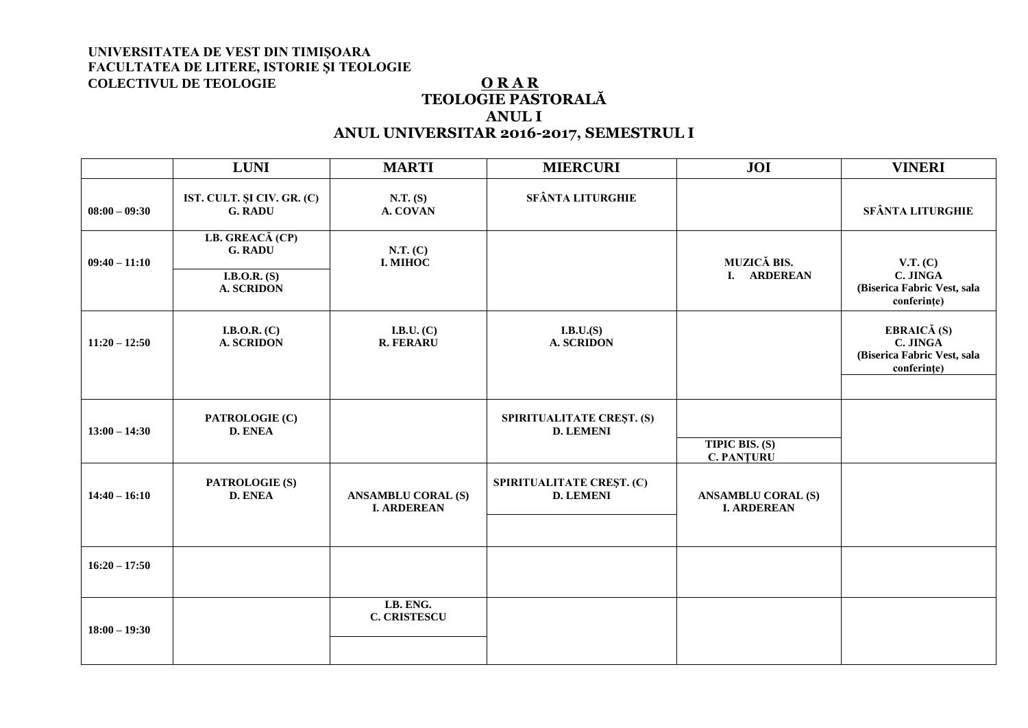# **TEOLOGIE PASTORALĂ ANUL I ANUL UNIVERSITAR 2016-2017, SEMESTRUL I**

|                 | <b>LUNI</b>                                                              | <b>MARTI</b>                                    | <b>MIERCURI</b>                               | JOI                                             | <b>VINERI</b>                                                         |
|-----------------|--------------------------------------------------------------------------|-------------------------------------------------|-----------------------------------------------|-------------------------------------------------|-----------------------------------------------------------------------|
| $08:00 - 09:30$ | IST. CULT. ȘI CIV. GR. (C)<br><b>G. RADU</b>                             | N.T. (S)<br>A. COVAN                            | <b>SFÂNTA LITURGHIE</b>                       |                                                 | SFÂNTA LITURGHIE                                                      |
| $09:40 - 11:10$ | LB. GREACĂ (CP)<br><b>G. RADU</b><br>I.B.O.R. $(S)$<br><b>A. SCRIDON</b> | N.T. (C)<br>I. MIHOC                            |                                               | MUZICĂ BIS.<br>I. ARDEREAN                      | V.T. (C)<br>C. JINGA<br>(Biserica Fabric Vest, sala<br>conferințe)    |
| $11:20 - 12:50$ | I.B.O.R. $(C)$<br><b>A. SCRIDON</b>                                      | I.B.U. $(C)$<br><b>R. FERARU</b>                | I.B.U.(S)<br><b>A. SCRIDON</b>                |                                                 | EBRAICĂ (S)<br>C. JINGA<br>(Biserica Fabric Vest, sala<br>conferințe) |
| $13:00 - 14:30$ | PATROLOGIE (C)<br><b>D. ENEA</b>                                         |                                                 | SPIRITUALITATE CREȘT. (S)<br><b>D. LEMENI</b> | <b>TIPIC BIS. (S)</b><br><b>C. PANTURU</b>      |                                                                       |
| $14:40 - 16:10$ | PATROLOGIE (S)<br><b>D. ENEA</b>                                         | <b>ANSAMBLU CORAL (S)</b><br><b>I. ARDEREAN</b> | SPIRITUALITATE CREȘT. (C)<br><b>D. LEMENI</b> | <b>ANSAMBLU CORAL (S)</b><br><b>I. ARDEREAN</b> |                                                                       |
| $16:20 - 17:50$ |                                                                          |                                                 |                                               |                                                 |                                                                       |
| $18:00 - 19:30$ |                                                                          | LB. ENG.<br><b>C. CRISTESCU</b>                 |                                               |                                                 |                                                                       |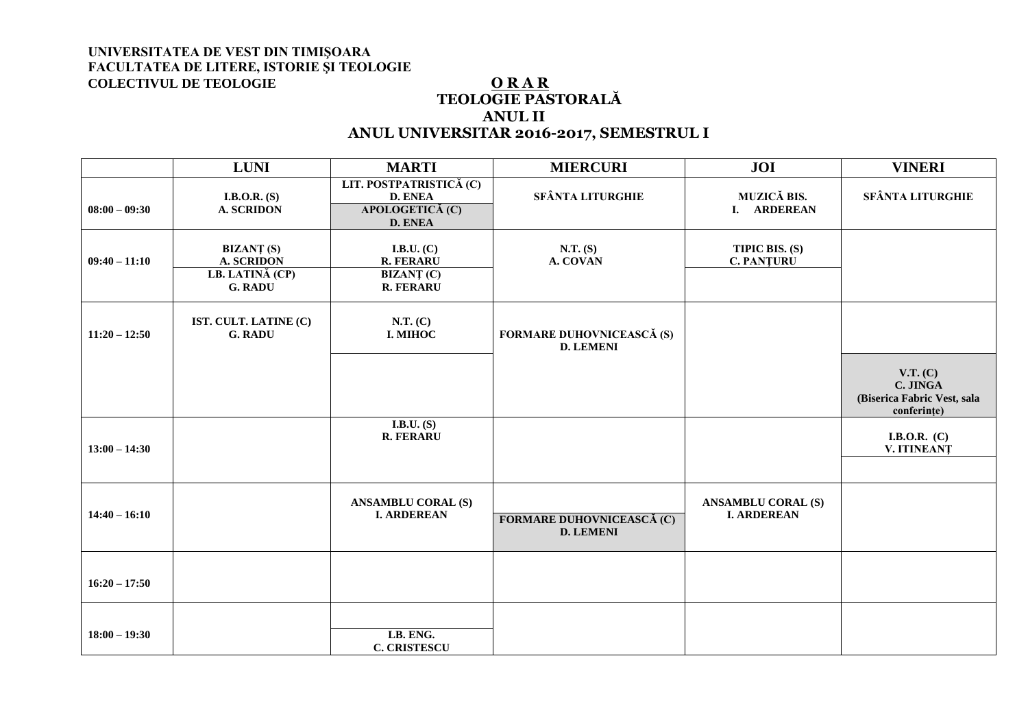# **TEOLOGIE PASTORALĂ ANUL II ANUL UNIVERSITAR 2016-2017, SEMESTRUL I**

|                 | <b>LUNI</b>                                                                 | <b>MARTI</b>                                                                   | <b>MIERCURI</b>                                      | <b>JOI</b>                                      | <b>VINERI</b>                                                      |
|-----------------|-----------------------------------------------------------------------------|--------------------------------------------------------------------------------|------------------------------------------------------|-------------------------------------------------|--------------------------------------------------------------------|
| $08:00 - 09:30$ | I.B.O.R. $(S)$<br><b>A. SCRIDON</b>                                         | LIT. POSTPATRISTICĂ (C)<br><b>D. ENEA</b><br>APOLOGETICĂ (C)<br><b>D. ENEA</b> | <b>SFÂNTA LITURGHIE</b>                              | MUZICĂ BIS.<br>I. ARDEREAN                      | <b>SFÂNTA LITURGHIE</b>                                            |
| $09:40 - 11:10$ | <b>BIZANȚ (S)</b><br><b>A. SCRIDON</b><br>LB. LATINĂ (CP)<br><b>G. RADU</b> | I.B.U. $(C)$<br><b>R. FERARU</b><br><b>BIZANȚ (C)</b><br><b>R. FERARU</b>      | N.T. (S)<br>A. COVAN                                 | TIPIC BIS. (S)<br><b>C. PANȚURU</b>             |                                                                    |
| $11:20 - 12:50$ | IST. CULT. LATINE (C)<br><b>G. RADU</b>                                     | N.T. (C)<br>I. MIHOC                                                           | <b>FORMARE DUHOVNICEASCĂ (S)</b><br><b>D. LEMENI</b> |                                                 |                                                                    |
|                 |                                                                             |                                                                                |                                                      |                                                 | V.T. (C)<br>C. JINGA<br>(Biserica Fabric Vest, sala<br>conferințe) |
| $13:00 - 14:30$ |                                                                             | I.B.U. $(S)$<br><b>R. FERARU</b>                                               |                                                      |                                                 | I.B.O.R. $(C)$<br>V. ITINEANȚ                                      |
| $14:40 - 16:10$ |                                                                             | <b>ANSAMBLU CORAL (S)</b><br><b>I. ARDEREAN</b>                                | <b>FORMARE DUHOVNICEASCĂ (C)</b><br><b>D. LEMENI</b> | <b>ANSAMBLU CORAL (S)</b><br><b>I. ARDEREAN</b> |                                                                    |
| $16:20 - 17:50$ |                                                                             |                                                                                |                                                      |                                                 |                                                                    |
| $18:00 - 19:30$ |                                                                             | LB. ENG.<br><b>C. CRISTESCU</b>                                                |                                                      |                                                 |                                                                    |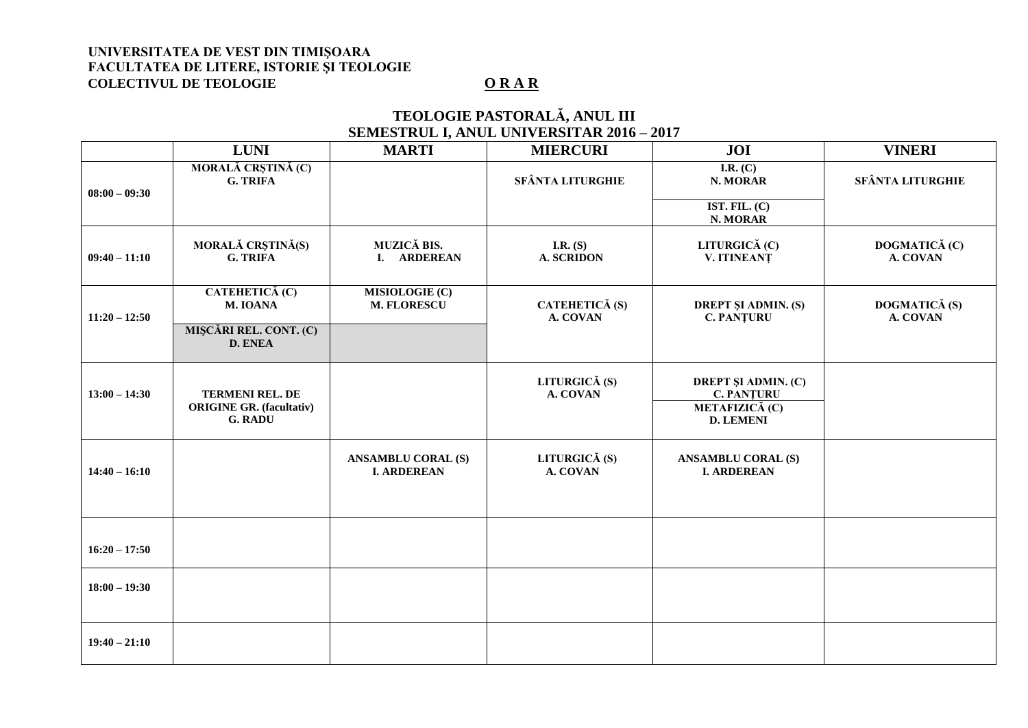# **TEOLOGIE PASTORALĂ, ANUL III SEMESTRUL I, ANUL UNIVERSITAR 2016 – 2017**

|                 | <b>LUNI</b>                                                                 | <b>MARTI</b>                                    | <b>MIERCURI</b>                 | JOI                                                                                   | <b>VINERI</b>             |
|-----------------|-----------------------------------------------------------------------------|-------------------------------------------------|---------------------------------|---------------------------------------------------------------------------------------|---------------------------|
| $08:00 - 09:30$ | MORALĂ CRȘTINĂ (C)<br><b>G. TRIFA</b>                                       |                                                 | <b>SFÂNTA LITURGHIE</b>         | I.R. $(C)$<br>N. MORAR                                                                | <b>SFÂNTA LITURGHIE</b>   |
|                 |                                                                             |                                                 |                                 | IST. FIL. $(C)$<br>N. MORAR                                                           |                           |
| $09:40 - 11:10$ | MORALĂ CRȘTINĂ(S)<br><b>G. TRIFA</b>                                        | MUZICĂ BIS.<br>I. ARDEREAN                      | I.R. $(S)$<br><b>A. SCRIDON</b> | LITURGICĂ (C)<br>V. ITINEANT                                                          | DOGMATICĂ (C)<br>A. COVAN |
| $11:20 - 12:50$ | CATEHETICĂ (C)<br>M. IOANA                                                  | MISIOLOGIE (C)<br><b>M. FLORESCU</b>            | CATEHETICĂ (S)<br>A. COVAN      | <b>DREPT ȘI ADMIN. (S)</b><br><b>C. PANȚURU</b>                                       | DOGMATICĂ (S)<br>A. COVAN |
|                 | MIȘCĂRI REL. CONT. (C)<br><b>D. ENEA</b>                                    |                                                 |                                 |                                                                                       |                           |
| $13:00 - 14:30$ | <b>TERMENI REL. DE</b><br><b>ORIGINE GR. (facultativ)</b><br><b>G. RADU</b> |                                                 | LITURGICĂ (S)<br>A. COVAN       | <b>DREPT ȘI ADMIN. (C)</b><br><b>C. PANȚURU</b><br>METAFIZICĂ (C)<br><b>D. LEMENI</b> |                           |
|                 |                                                                             |                                                 |                                 |                                                                                       |                           |
| $14:40 - 16:10$ |                                                                             | <b>ANSAMBLU CORAL (S)</b><br><b>I. ARDEREAN</b> | LITURGICĂ (S)<br>A. COVAN       | <b>ANSAMBLU CORAL (S)</b><br><b>I. ARDEREAN</b>                                       |                           |
|                 |                                                                             |                                                 |                                 |                                                                                       |                           |
| $16:20 - 17:50$ |                                                                             |                                                 |                                 |                                                                                       |                           |
| $18:00 - 19:30$ |                                                                             |                                                 |                                 |                                                                                       |                           |
| $19:40 - 21:10$ |                                                                             |                                                 |                                 |                                                                                       |                           |